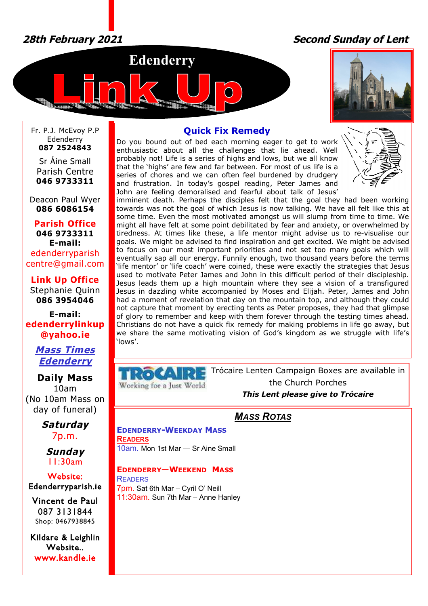# *28th February 2021 Second Sunday of Lent*





Fr. P.J. McEvoy P.P Edenderry **087 2524843**

Sr Áine Small Parish Centre **046 9733311**

Deacon Paul Wyer **086 6086154**

**Parish Office 046 9733311 E-mail:** edenderryparish [centre@gmail.com](mailto:centre@gmail.com)

**Link Up Office** Stephanie Quinn **086 3954046**

**E-mail: edenderrylinkup [@yahoo.ie](mailto:@yahoo.ie)**

# *Mass Times Edenderry*

**Daily Mass** 10am (No 10am Mass on day of funeral)

> *Saturday* 7p.m.

*Sunday* 11:30am

## **Website: Edenderryparish.ie**

**Vincent de Paul**  087 3131844 Shop: 0467938845

**Kildare & Leighlin Website.. [www.kandle.ie](http://www.kandle.ie)** 

# **Quick Fix Remedy**

Do you bound out of bed each morning eager to get to work enthusiastic about all the challenges that lie ahead. Well probably not! Life is a series of highs and lows, but we all know that the 'highs' are few and far between. For most of us life is a series of chores and we can often feel burdened by drudgery and frustration. In today's gospel reading, Peter James and John are feeling demoralised and fearful about talk of Jesus'



imminent death. Perhaps the disciples felt that the goal they had been working towards was not the goal of which Jesus is now talking. We have all felt like this at some time. Even the most motivated amongst us will slump from time to time. We might all have felt at some point debilitated by fear and anxiety, or overwhelmed by tiredness. At times like these, a life mentor might advise us to re-visualise our goals. We might be advised to find inspiration and get excited. We might be advised to focus on our most important priorities and not set too many goals which will eventually sap all our energy. Funnily enough, two thousand years before the terms 'life mentor' or 'life coach' were coined, these were exactly the strategies that Jesus used to motivate Peter James and John in this difficult period of their discipleship. Jesus leads them up a high mountain where they see a vision of a transfigured Jesus in dazzling white accompanied by Moses and Elijah. Peter, James and John had a moment of revelation that day on the mountain top, and although they could not capture that moment by erecting tents as Peter proposes, they had that glimpse of glory to remember and keep with them forever through the testing times ahead. Christians do not have a quick fix remedy for making problems in life go away, but we share the same motivating vision of God's kingdom as we struggle with life's 'lows'.

**TRO** Working for a lust World Trócaire Lenten Campaign Boxes are available in the Church Porches *This Lent please give to Trócaire*

*MASS ROTAS*

**EDENDERRY-WEEKDAY MASS READERS** 10am. Mon 1st Mar — Sr Aine Small

## **EDENDERRY—WEEKEND MASS**

**READERS** 7pm. Sat 6th Mar – Cyril O' Neill 11:30am. Sun 7th Mar – Anne Hanley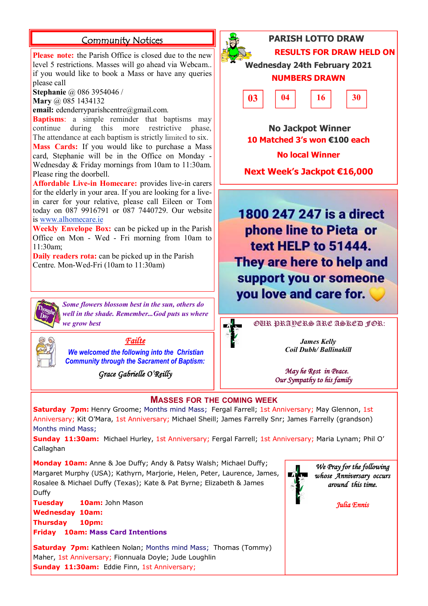**Please note:** the Parish Office is closed due to the new level 5 restrictions. Masses will go ahead via Webcam.. if you would like to book a Mass or have any queries please call

**Stephanie** @ 086 3954046 /

**Mary** @ 085 1434132

**email:** [edenderryparishcentre@gmail.com.](mailto:edenderryparishcentre@gmail.com.)

**Baptisms**: a simple reminder that baptisms may continue during this more restrictive phase, The attendance at each baptism is strictly limited to six. **Mass Cards:** If you would like to purchase a Mass card, Stephanie will be in the Office on Monday - Wednesday & Friday mornings from 10am to 11:30am.

Please ring the doorbell. **Affordable Live-in Homecare:** provides live-in carers for the elderly in your area. If you are looking for a livein carer for your relative, please call Eileen or Tom today on 087 9916791 or 087 7440729. Our website is [www.alhomecare.ie](http://www.alhomecare.ie)

**Weekly Envelope Box:** can be picked up in the Parish Office on Mon - Wed - Fri morning from 10am to 11:30am;

**Daily readers rota:** can be picked up in the Parish Centre. Mon-Wed-Fri (10am to 11:30am)



*Some flowers blossom best in the sun, others do well in the shade. Remember...God puts us where* 



*Failte* 

*We welcomed the following into the Christian Community through the Sacrament of Baptism:*

*Grace Gabrielle O'Reilly* 



**Community Notices PARISH LOTTO DRAW RESULTS FOR DRAW HELD ON** 

> **Wednesday 24th February 2021 NUMBERS DRAWN**



 **No Jackpot Winner 10 Matched 3's won €100 each No local Winner**

**Next Week's Jackpot €16,000**

1800 247 247 is a direct phone line to Pieta or text HELP to 51444. They are here to help and support you or someone you love and care for.



*James Kelly Coil Dubh/ Ballinakill*

 *May he Rest in Peace. Our Sympathy to his family* 

## **MASSES FOR THE COMING WEEK**

**Saturday 7pm:** Henry Groome; Months mind Mass; Fergal Farrell; 1st Anniversary; May Glennon, 1st Anniversary; Kit O'Mara, 1st Anniversary; Michael Sheill; James Farrelly Snr; James Farrelly (grandson) Months mind Mass;

**Sunday 11:30am:** Michael Hurley, 1st Anniversary; Fergal Farrell; 1st Anniversary; Maria Lynam; Phil O' Callaghan

**Monday 10am:** Anne & Joe Duffy; Andy & Patsy Walsh; Michael Duffy; Margaret Murphy (USA); Kathyrn, Marjorie, Helen, Peter, Laurence, James, Rosalee & Michael Duffy (Texas); Kate & Pat Byrne; Elizabeth & James Duffy

**Tuesday 10am:** John Mason **Wednesday 10am:** 

**Thursday 10pm: Friday 10am: Mass Card Intentions**

**Saturday 7pm:** Kathleen Nolan: Months mind Mass: Thomas (Tommy) Maher, 1st Anniversary; Fionnuala Doyle; Jude Loughlin **Sunday 11:30am:** Eddie Finn, 1st Anniversary;



*We Pray for the following whose Anniversary occurs around this time.* 

*Julia Ennis*